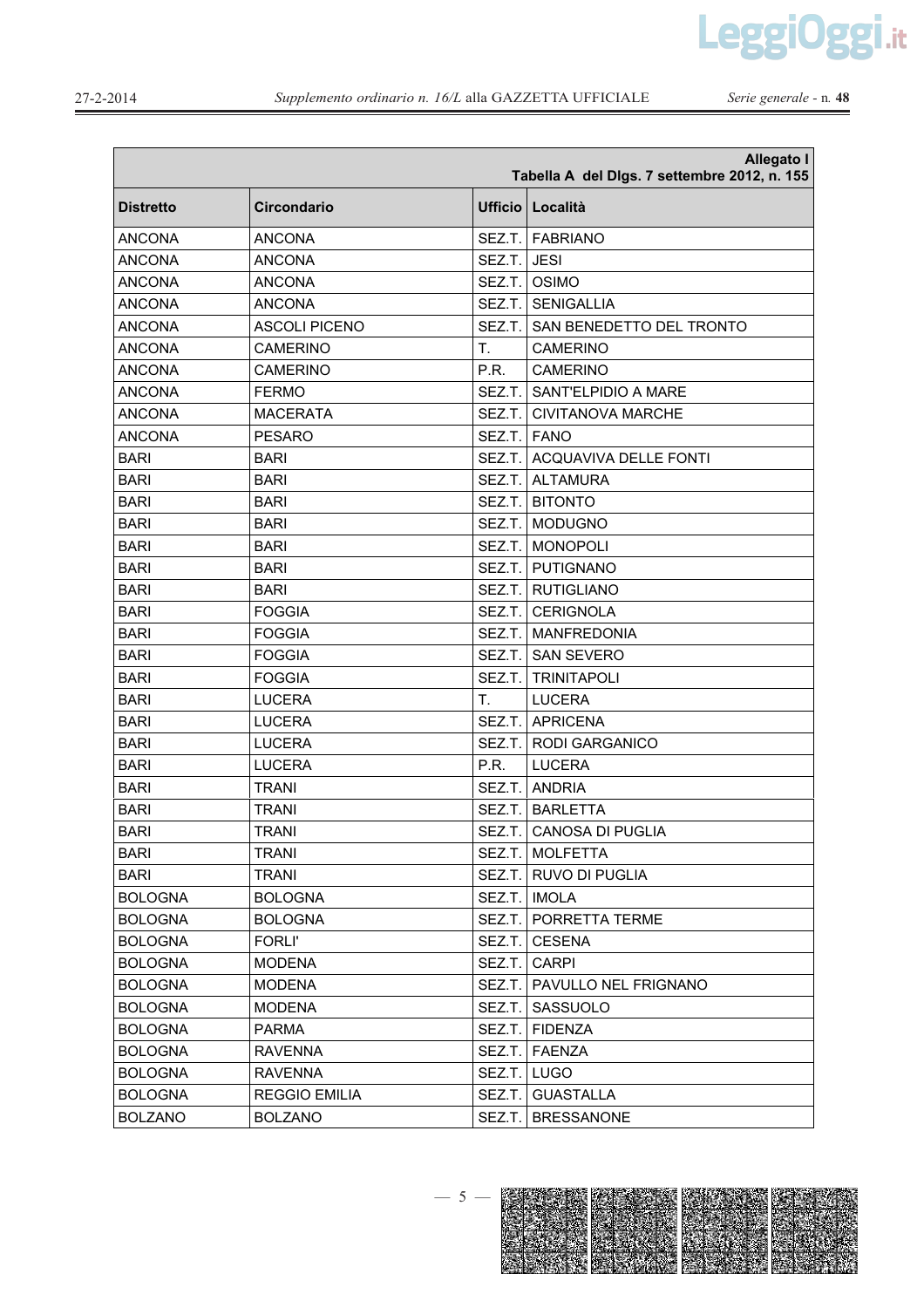LeggiOggi.it

Serie generale - n. 48

| <b>Allegato I</b><br>Tabella A del Digs. 7 settembre 2012, n. 155 |                      |         |                              |  |
|-------------------------------------------------------------------|----------------------|---------|------------------------------|--|
| Distretto                                                         | <b>Circondario</b>   | Ufficio | Località                     |  |
| <b>ANCONA</b>                                                     | <b>ANCONA</b>        | SEZ.T.  | <b>FABRIANO</b>              |  |
| <b>ANCONA</b>                                                     | <b>ANCONA</b>        | SEZ.T.  | <b>JESI</b>                  |  |
| <b>ANCONA</b>                                                     | <b>ANCONA</b>        | SEZ.T.  | <b>OSIMO</b>                 |  |
| <b>ANCONA</b>                                                     | <b>ANCONA</b>        | SEZ.T.  | <b>SENIGALLIA</b>            |  |
| <b>ANCONA</b>                                                     | <b>ASCOLI PICENO</b> | SEZ.T.  | SAN BENEDETTO DEL TRONTO     |  |
| <b>ANCONA</b>                                                     | <b>CAMERINO</b>      | T.      | <b>CAMERINO</b>              |  |
| <b>ANCONA</b>                                                     | <b>CAMERINO</b>      | P.R.    | <b>CAMERINO</b>              |  |
| <b>ANCONA</b>                                                     | <b>FERMO</b>         | SEZ.T.  | SANT'ELPIDIO A MARE          |  |
| <b>ANCONA</b>                                                     | <b>MACERATA</b>      | SEZ.T.  | CIVITANOVA MARCHE            |  |
| <b>ANCONA</b>                                                     | <b>PESARO</b>        | SEZ.T.  | <b>FANO</b>                  |  |
| <b>BARI</b>                                                       | <b>BARI</b>          | SEZ.T.  | <b>ACQUAVIVA DELLE FONTI</b> |  |
| <b>BARI</b>                                                       | <b>BARI</b>          | SEZ.T.  | <b>ALTAMURA</b>              |  |
| <b>BARI</b>                                                       | <b>BARI</b>          | SEZ.T.  | <b>BITONTO</b>               |  |
| <b>BARI</b>                                                       | <b>BARI</b>          | SEZ.T.  | <b>MODUGNO</b>               |  |
| <b>BARI</b>                                                       | <b>BARI</b>          | SEZ.T.  | <b>MONOPOLI</b>              |  |
| <b>BARI</b>                                                       | <b>BARI</b>          | SEZ.T.  | PUTIGNANO                    |  |
| <b>BARI</b>                                                       | <b>BARI</b>          |         | SEZ.T.   RUTIGLIANO          |  |
| <b>BARI</b>                                                       | <b>FOGGIA</b>        | SEZ.T.  | <b>CERIGNOLA</b>             |  |
| <b>BARI</b>                                                       | <b>FOGGIA</b>        | SEZ.T.  | <b>MANFREDONIA</b>           |  |
| <b>BARI</b>                                                       | <b>FOGGIA</b>        | SEZ.T.  | <b>SAN SEVERO</b>            |  |
| <b>BARI</b>                                                       | <b>FOGGIA</b>        | SEZ.T.  | <b>TRINITAPOLI</b>           |  |
| <b>BARI</b>                                                       | <b>LUCERA</b>        | Τ.      | <b>LUCERA</b>                |  |
| <b>BARI</b>                                                       | <b>LUCERA</b>        |         | SEZ.T. APRICENA              |  |
| <b>BARI</b>                                                       | <b>LUCERA</b>        | SEZ.T.  | <b>RODI GARGANICO</b>        |  |
| <b>BARI</b>                                                       | <b>LUCERA</b>        | P.R.    | <b>LUCERA</b>                |  |
| <b>BARI</b>                                                       | <b>TRANI</b>         | SEZ.T.  | <b>ANDRIA</b>                |  |
| <b>BARI</b>                                                       | <b>TRANI</b>         | SEZ.T.  | <b>BARLETTA</b>              |  |
| <b>BARI</b>                                                       | <b>TRANI</b>         | SEZ.T.  | <b>CANOSA DI PUGLIA</b>      |  |
| <b>BARI</b>                                                       | <b>TRANI</b>         |         | SEZ.T.   MOLFETTA            |  |
| <b>BARI</b>                                                       | <b>TRANI</b>         |         | SEZ.T.   RUVO DI PUGLIA      |  |
| <b>BOLOGNA</b>                                                    | <b>BOLOGNA</b>       |         | SEZ.T.   IMOLA               |  |
| <b>BOLOGNA</b>                                                    | <b>BOLOGNA</b>       |         | SEZ.T.   PORRETTA TERME      |  |
| <b>BOLOGNA</b>                                                    | <b>FORLI'</b>        | SEZ.T.  | <b>CESENA</b>                |  |
| <b>BOLOGNA</b>                                                    | <b>MODENA</b>        | SEZ.T.  | <b>CARPI</b>                 |  |
| <b>BOLOGNA</b>                                                    | <b>MODENA</b>        | SEZ.T.  | PAVULLO NEL FRIGNANO         |  |
| <b>BOLOGNA</b>                                                    | <b>MODENA</b>        | SEZ.T.  | SASSUOLO                     |  |
| <b>BOLOGNA</b>                                                    | <b>PARMA</b>         |         | SEZ.T. FIDENZA               |  |
| <b>BOLOGNA</b>                                                    | <b>RAVENNA</b>       | SEZ.T.  | FAENZA                       |  |
| <b>BOLOGNA</b>                                                    | <b>RAVENNA</b>       | SEZ.T.  | <b>LUGO</b>                  |  |
| <b>BOLOGNA</b>                                                    | <b>REGGIO EMILIA</b> | SEZ.T.  | <b>GUASTALLA</b>             |  |
| <b>BOLZANO</b>                                                    | <b>BOLZANO</b>       | SEZ.T.  | <b>BRESSANONE</b>            |  |

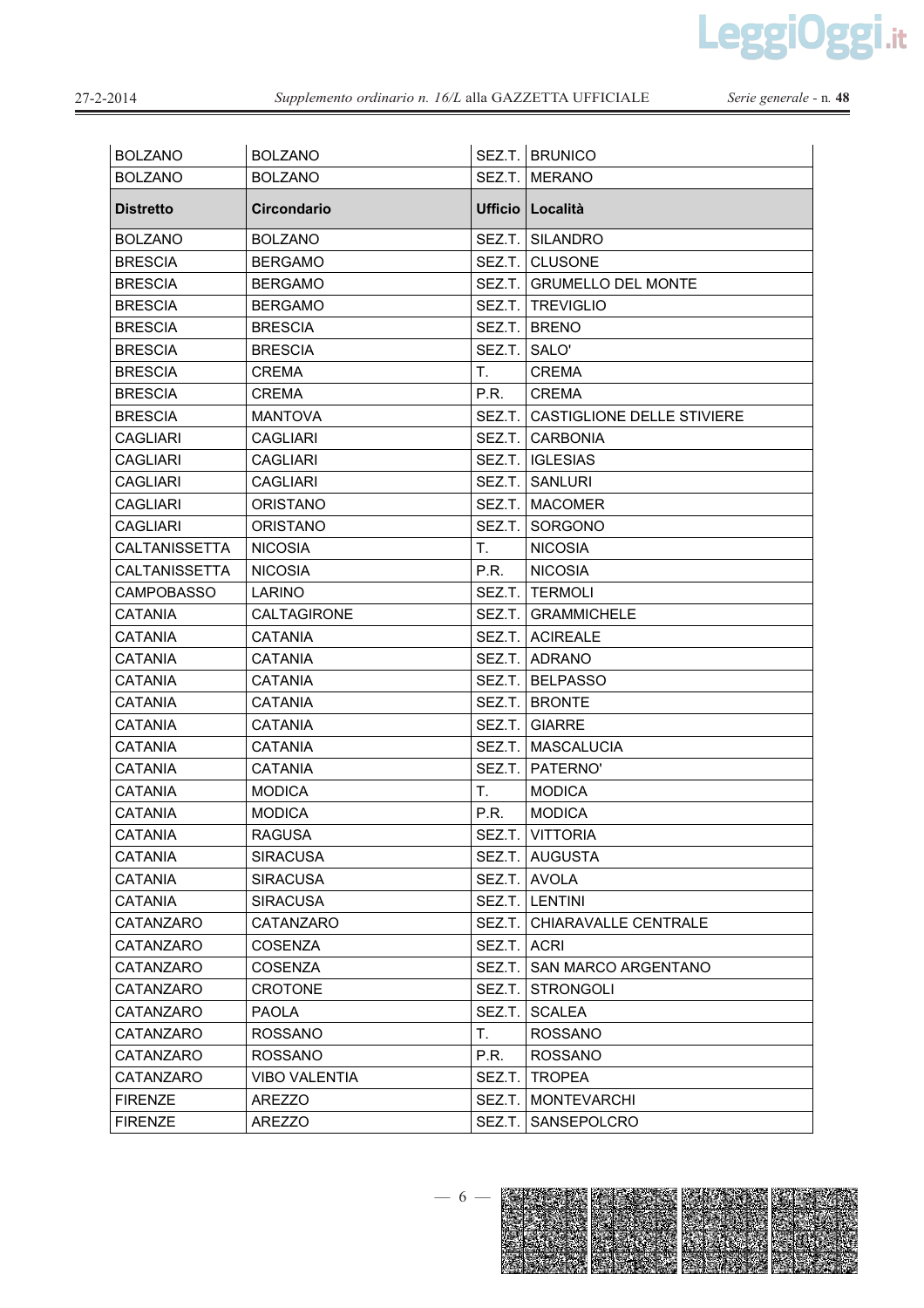LeggiOggi.it

| <b>BOLZANO</b>       | <b>BOLZANO</b>       |              | SEZ.T. BRUNICO                    |
|----------------------|----------------------|--------------|-----------------------------------|
| <b>BOLZANO</b>       | <b>BOLZANO</b>       |              | SEZ.T. MERANO                     |
| <b>Distretto</b>     | <b>Circondario</b>   |              | Ufficio   Località                |
| <b>BOLZANO</b>       | <b>BOLZANO</b>       |              | SEZ.T. SILANDRO                   |
| <b>BRESCIA</b>       | <b>BERGAMO</b>       |              | SEZ.T. CLUSONE                    |
| <b>BRESCIA</b>       | <b>BERGAMO</b>       |              | SEZ.T. GRUMELLO DEL MONTE         |
| <b>BRESCIA</b>       | <b>BERGAMO</b>       |              | SEZ.T.   TREVIGLIO                |
| <b>BRESCIA</b>       | <b>BRESCIA</b>       |              | SEZ.T. BRENO                      |
| <b>BRESCIA</b>       | <b>BRESCIA</b>       | SEZ.T. SALO' |                                   |
| <b>BRESCIA</b>       | <b>CREMA</b>         | T.           | <b>CREMA</b>                      |
| <b>BRESCIA</b>       | <b>CREMA</b>         | P.R.         | <b>CREMA</b>                      |
| <b>BRESCIA</b>       | <b>MANTOVA</b>       |              | SEZ.T. CASTIGLIONE DELLE STIVIERE |
| <b>CAGLIARI</b>      | <b>CAGLIARI</b>      |              | SEZ.T. CARBONIA                   |
| <b>CAGLIARI</b>      | <b>CAGLIARI</b>      |              | SEZ.T. IGLESIAS                   |
| <b>CAGLIARI</b>      | <b>CAGLIARI</b>      |              | SEZ.T. SANLURI                    |
| <b>CAGLIARI</b>      | <b>ORISTANO</b>      |              | SEZ.T.   MACOMER                  |
| <b>CAGLIARI</b>      | <b>ORISTANO</b>      |              | SEZ.T. SORGONO                    |
| <b>CALTANISSETTA</b> | <b>NICOSIA</b>       | Τ.           | <b>NICOSIA</b>                    |
| <b>CALTANISSETTA</b> | <b>NICOSIA</b>       | P.R.         | <b>NICOSIA</b>                    |
| <b>CAMPOBASSO</b>    | LARINO               |              | SEZ.T. TERMOLI                    |
| <b>CATANIA</b>       | <b>CALTAGIRONE</b>   |              | <b>SEZ.T.   GRAMMICHELE</b>       |
| <b>CATANIA</b>       | <b>CATANIA</b>       |              | SEZ.T. ACIREALE                   |
| <b>CATANIA</b>       | <b>CATANIA</b>       |              | SEZ.T.   ADRANO                   |
| <b>CATANIA</b>       | <b>CATANIA</b>       |              | SEZ.T.   BELPASSO                 |
| <b>CATANIA</b>       | <b>CATANIA</b>       |              | SEZ.T. BRONTE                     |
| <b>CATANIA</b>       | <b>CATANIA</b>       |              | SEZ.T. GIARRE                     |
| <b>CATANIA</b>       | <b>CATANIA</b>       |              | SEZ.T.   MASCALUCIA               |
| <b>CATANIA</b>       | <b>CATANIA</b>       |              | SEZ.T. PATERNO'                   |
| <b>CATANIA</b>       | <b>MODICA</b>        | Τ.           | <b>MODICA</b>                     |
| <b>CATANIA</b>       | <b>MODICA</b>        | P.R.         | <b>MODICA</b>                     |
| <b>CATANIA</b>       | <b>RAGUSA</b>        |              | SEZ.T. VITTORIA                   |
| <b>CATANIA</b>       | <b>SIRACUSA</b>      |              | SEZ.T. AUGUSTA                    |
| <b>CATANIA</b>       | <b>SIRACUSA</b>      |              | SEZ.T. AVOLA                      |
| <b>CATANIA</b>       | <b>SIRACUSA</b>      |              | SEZ.T. LENTINI                    |
| CATANZARO            | CATANZARO            |              | SEZ.T.   CHIARAVALLE CENTRALE     |
| CATANZARO            | <b>COSENZA</b>       | SEZ.T. ACRI  |                                   |
| CATANZARO            | <b>COSENZA</b>       | SEZ.T.       | SAN MARCO ARGENTANO               |
| CATANZARO            | <b>CROTONE</b>       | SEZ.T.       | <b>STRONGOLI</b>                  |
| CATANZARO            | <b>PAOLA</b>         | SEZ.T.       | <b>SCALEA</b>                     |
| CATANZARO            | <b>ROSSANO</b>       | Τ.           | <b>ROSSANO</b>                    |
| CATANZARO            | <b>ROSSANO</b>       | P.R.         | <b>ROSSANO</b>                    |
| CATANZARO            | <b>VIBO VALENTIA</b> | SEZ.T.       | <b>TROPEA</b>                     |
| <b>FIRENZE</b>       | <b>AREZZO</b>        | SEZ.T.       | <b>MONTEVARCHI</b>                |
| <b>FIRENZE</b>       | <b>AREZZO</b>        | SEZ.T.       | SANSEPOLCRO                       |

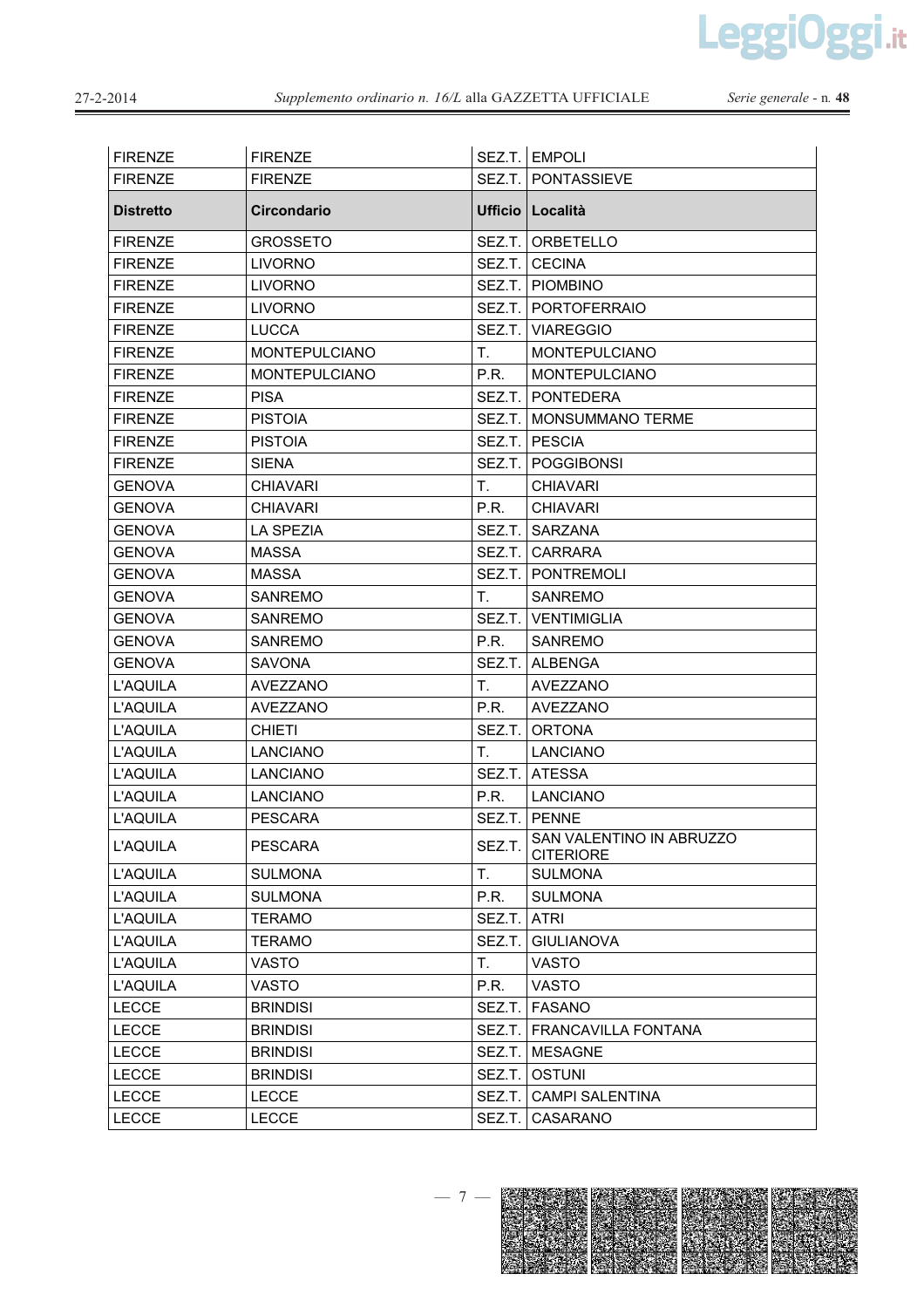LeggiOggi.it

| <b>FIRENZE</b>   | <b>FIRENZE</b>       |        | SEZ.T. EMPOLI                                |
|------------------|----------------------|--------|----------------------------------------------|
| <b>FIRENZE</b>   | <b>FIRENZE</b>       |        | SEZ.T.   PONTASSIEVE                         |
| <b>Distretto</b> | Circondario          |        | <b>Ufficio Località</b>                      |
| <b>FIRENZE</b>   | <b>GROSSETO</b>      |        | SEZ.T.   ORBETELLO                           |
| <b>FIRENZE</b>   | <b>LIVORNO</b>       |        | SEZ.T. CECINA                                |
| <b>FIRENZE</b>   | <b>LIVORNO</b>       |        | SEZ.T.   PIOMBINO                            |
| <b>FIRENZE</b>   | LIVORNO              |        | SEZ.T.   PORTOFERRAIO                        |
| <b>FIRENZE</b>   | <b>LUCCA</b>         |        | SEZ.T. VIAREGGIO                             |
| <b>FIRENZE</b>   | <b>MONTEPULCIANO</b> | T.     | <b>MONTEPULCIANO</b>                         |
| <b>FIRENZE</b>   | <b>MONTEPULCIANO</b> | P.R.   | <b>MONTEPULCIANO</b>                         |
| <b>FIRENZE</b>   | <b>PISA</b>          |        | SEZ.T. PONTEDERA                             |
| <b>FIRENZE</b>   | <b>PISTOIA</b>       | SEZ.T. | <b>MONSUMMANO TERME</b>                      |
| <b>FIRENZE</b>   | <b>PISTOIA</b>       | SEZ.T. | <b>PESCIA</b>                                |
| <b>FIRENZE</b>   | <b>SIENA</b>         |        | SEZ.T.   POGGIBONSI                          |
| <b>GENOVA</b>    | <b>CHIAVARI</b>      | Τ.     | <b>CHIAVARI</b>                              |
| <b>GENOVA</b>    | <b>CHIAVARI</b>      | P.R.   | <b>CHIAVARI</b>                              |
| <b>GENOVA</b>    | <b>LA SPEZIA</b>     | SEZ.T. | SARZANA                                      |
| <b>GENOVA</b>    | <b>MASSA</b>         | SEZ.T. | <b>CARRARA</b>                               |
| <b>GENOVA</b>    | <b>MASSA</b>         |        | SEZ.T. PONTREMOLI                            |
| <b>GENOVA</b>    | <b>SANREMO</b>       | Τ.     | <b>SANREMO</b>                               |
| <b>GENOVA</b>    | <b>SANREMO</b>       |        | SEZ.T. VENTIMIGLIA                           |
| <b>GENOVA</b>    | SANREMO              | P.R.   | <b>SANREMO</b>                               |
| <b>GENOVA</b>    | <b>SAVONA</b>        | SEZ.T. | ALBENGA                                      |
| <b>L'AQUILA</b>  | <b>AVEZZANO</b>      | T.     | <b>AVEZZANO</b>                              |
| <b>L'AQUILA</b>  | AVEZZANO             | P.R.   | AVEZZANO                                     |
| L'AQUILA         | <b>CHIETI</b>        | SEZ.T. | <b>ORTONA</b>                                |
| L'AQUILA         | <b>LANCIANO</b>      | T.     | <b>LANCIANO</b>                              |
| <b>L'AQUILA</b>  | <b>LANCIANO</b>      | SEZ.T. | <b>ATESSA</b>                                |
| <b>L'AQUILA</b>  | LANCIANO             | P.R.   | <b>LANCIANO</b>                              |
| <b>L'AQUILA</b>  | <b>PESCARA</b>       | SEZ.T. | <b>PENNE</b>                                 |
| <b>L'AQUILA</b>  | <b>PESCARA</b>       | SEZ.T. | SAN VALENTINO IN ABRUZZO<br><b>CITERIORE</b> |
| L'AQUILA         | <b>SULMONA</b>       | T.     | <b>SULMONA</b>                               |
| L'AQUILA         | <b>SULMONA</b>       | P.R.   | <b>SULMONA</b>                               |
| L'AQUILA         | <b>TERAMO</b>        | SEZ.T. | <b>ATRI</b>                                  |
| <b>L'AQUILA</b>  | TERAMO               | SEZ.T. | <b>GIULIANOVA</b>                            |
| <b>L'AQUILA</b>  | <b>VASTO</b>         | T.     | <b>VASTO</b>                                 |
| <b>L'AQUILA</b>  | VASTO                | P.R.   | <b>VASTO</b>                                 |
| <b>LECCE</b>     | <b>BRINDISI</b>      | SEZ.T. | <b>FASANO</b>                                |
| <b>LECCE</b>     | <b>BRINDISI</b>      | SEZ.T. | FRANCAVILLA FONTANA                          |
| <b>LECCE</b>     | <b>BRINDISI</b>      | SEZ.T. | <b>MESAGNE</b>                               |
| <b>LECCE</b>     | <b>BRINDISI</b>      | SEZ.T. | <b>OSTUNI</b>                                |
| <b>LECCE</b>     | <b>LECCE</b>         | SEZ.T. | <b>CAMPI SALENTINA</b>                       |
| <b>LECCE</b>     | <b>LECCE</b>         | SEZ.T. | CASARANO                                     |

 $-7-$ 

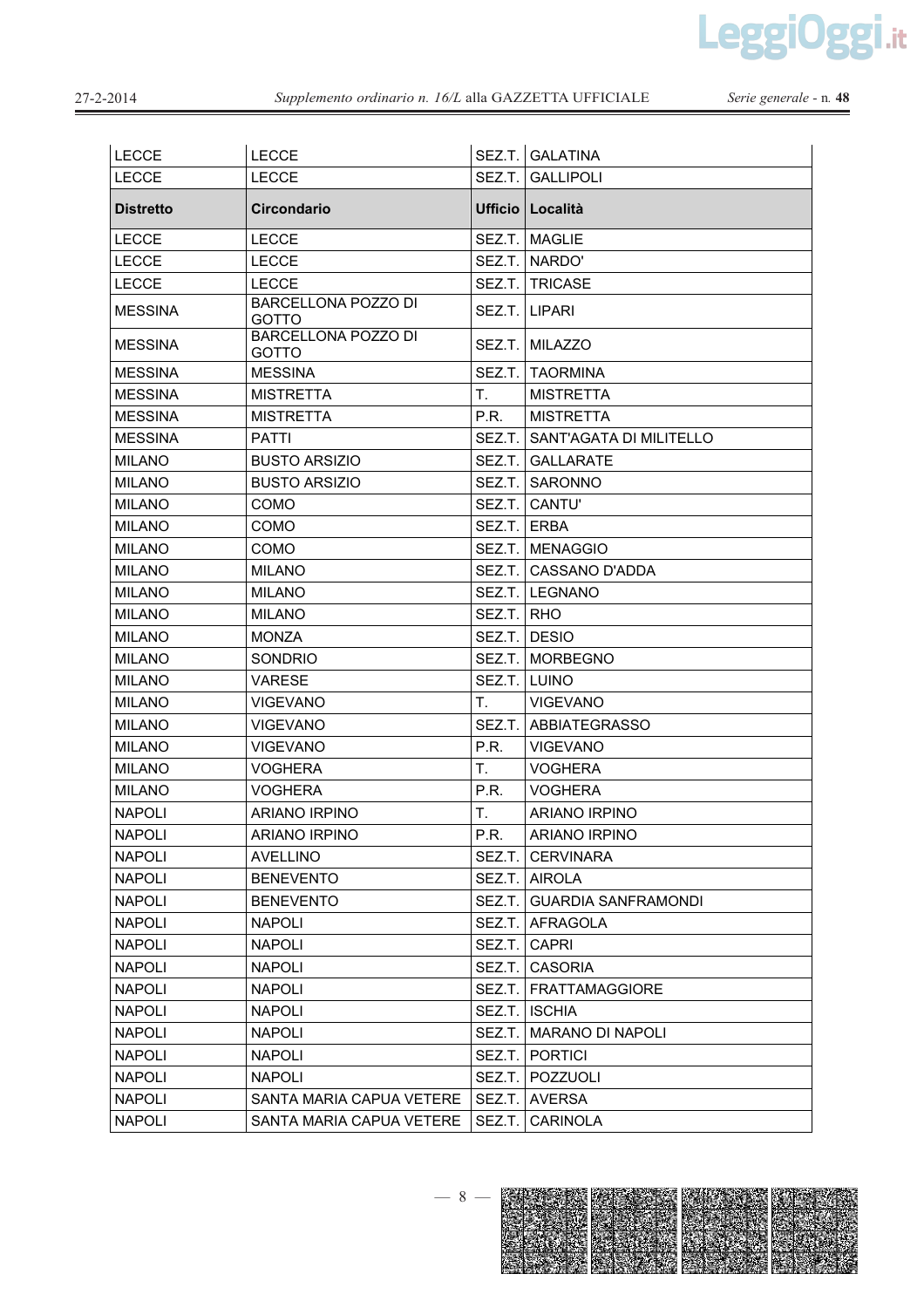LeggiOggi.it

| <b>LECCE</b>     | <b>LECCE</b>                        |             | SEZ.T. GALATINA            |
|------------------|-------------------------------------|-------------|----------------------------|
| <b>LECCE</b>     | <b>LECCE</b>                        |             | SEZ.T. GALLIPOLI           |
| <b>Distretto</b> | <b>Circondario</b>                  |             | Ufficio   Località         |
| <b>LECCE</b>     | <b>LECCE</b>                        |             | SEZ.T. MAGLIE              |
| <b>LECCE</b>     | <b>LECCE</b>                        |             | SEZ.T. NARDO'              |
| <b>LECCE</b>     | <b>LECCE</b>                        |             | SEZ.T.   TRICASE           |
| <b>MESSINA</b>   | BARCELLONA POZZO DI<br>GOTTO        | SEZ.T.      | <b>LIPARI</b>              |
| <b>MESSINA</b>   | BARCELLONA POZZO DI<br><b>GOTTO</b> | SEZ.T.      | <b>MILAZZO</b>             |
| <b>MESSINA</b>   | <b>MESSINA</b>                      | SEZ.T.      | <b>TAORMINA</b>            |
| <b>MESSINA</b>   | <b>MISTRETTA</b>                    | Τ.          | <b>MISTRETTA</b>           |
| <b>MESSINA</b>   | <b>MISTRETTA</b>                    | P.R.        | <b>MISTRETTA</b>           |
| <b>MESSINA</b>   | <b>PATTI</b>                        | SEZ.T.      | SANT'AGATA DI MILITELLO    |
| <b>MILANO</b>    | <b>BUSTO ARSIZIO</b>                | SEZ.T.      | <b>GALLARATE</b>           |
| <b>MILANO</b>    | <b>BUSTO ARSIZIO</b>                | SEZ.T.      | SARONNO                    |
| <b>MILANO</b>    | COMO                                | SEZ.T.      | CANTU'                     |
| <b>MILANO</b>    | <b>COMO</b>                         | SEZ.T. ERBA |                            |
| <b>MILANO</b>    | COMO                                |             | SEZ.T. MENAGGIO            |
| <b>MILANO</b>    | <b>MILANO</b>                       | SEZ.T.      | CASSANO D'ADDA             |
| <b>MILANO</b>    | <b>MILANO</b>                       |             | SEZ.T. LEGNANO             |
| <b>MILANO</b>    | <b>MILANO</b>                       | SEZ.T. RHO  |                            |
| <b>MILANO</b>    | <b>MONZA</b>                        | SEZ.T.      | <b>DESIO</b>               |
| <b>MILANO</b>    | <b>SONDRIO</b>                      |             | SEZ.T.   MORBEGNO          |
| <b>MILANO</b>    | <b>VARESE</b>                       | SEZ.T.      | LUINO                      |
| <b>MILANO</b>    | <b>VIGEVANO</b>                     | Τ.          | <b>VIGEVANO</b>            |
| <b>MILANO</b>    | <b>VIGEVANO</b>                     |             | SEZ.T.   ABBIATEGRASSO     |
| <b>MILANO</b>    | <b>VIGEVANO</b>                     | P.R.        | <b>VIGEVANO</b>            |
| <b>MILANO</b>    | <b>VOGHERA</b>                      | Τ.          | <b>VOGHERA</b>             |
| <b>MILANO</b>    | <b>VOGHERA</b>                      | P.R.        | <b>VOGHERA</b>             |
| <b>NAPOLI</b>    | <b>ARIANO IRPINO</b>                | Τ.          | <b>ARIANO IRPINO</b>       |
| <b>NAPOLI</b>    | ARIANO IRPINO                       | P.R.        | ARIANO IRPINO              |
| <b>NAPOLI</b>    | <b>AVELLINO</b>                     |             | SEZ.T.   CERVINARA         |
| <b>NAPOLI</b>    | <b>BENEVENTO</b>                    |             | SEZ.T. AIROLA              |
| <b>NAPOLI</b>    | <b>BENEVENTO</b>                    | SEZ.T.      | <b>GUARDIA SANFRAMONDI</b> |
| <b>NAPOLI</b>    | <b>NAPOLI</b>                       | SEZ.T.      | AFRAGOLA                   |
| <b>NAPOLI</b>    | <b>NAPOLI</b>                       | SEZ.T.      | <b>CAPRI</b>               |
| <b>NAPOLI</b>    | <b>NAPOLI</b>                       | SEZ.T.      | <b>CASORIA</b>             |
| <b>NAPOLI</b>    | <b>NAPOLI</b>                       | SEZ.T.      | <b>FRATTAMAGGIORE</b>      |
| <b>NAPOLI</b>    | <b>NAPOLI</b>                       | SEZ.T.      | <b>ISCHIA</b>              |
| <b>NAPOLI</b>    | <b>NAPOLI</b>                       | SEZ.T.      | <b>MARANO DI NAPOLI</b>    |
| <b>NAPOLI</b>    | <b>NAPOLI</b>                       | SEZ.T.      | <b>PORTICI</b>             |
| <b>NAPOLI</b>    | <b>NAPOLI</b>                       | SEZ.T.      | POZZUOLI                   |
| <b>NAPOLI</b>    | SANTA MARIA CAPUA VETERE            | SEZ.T.      | AVERSA                     |
| <b>NAPOLI</b>    | SANTA MARIA CAPUA VETERE            | SEZ.T.      | <b>CARINOLA</b>            |

 $-8-$ 

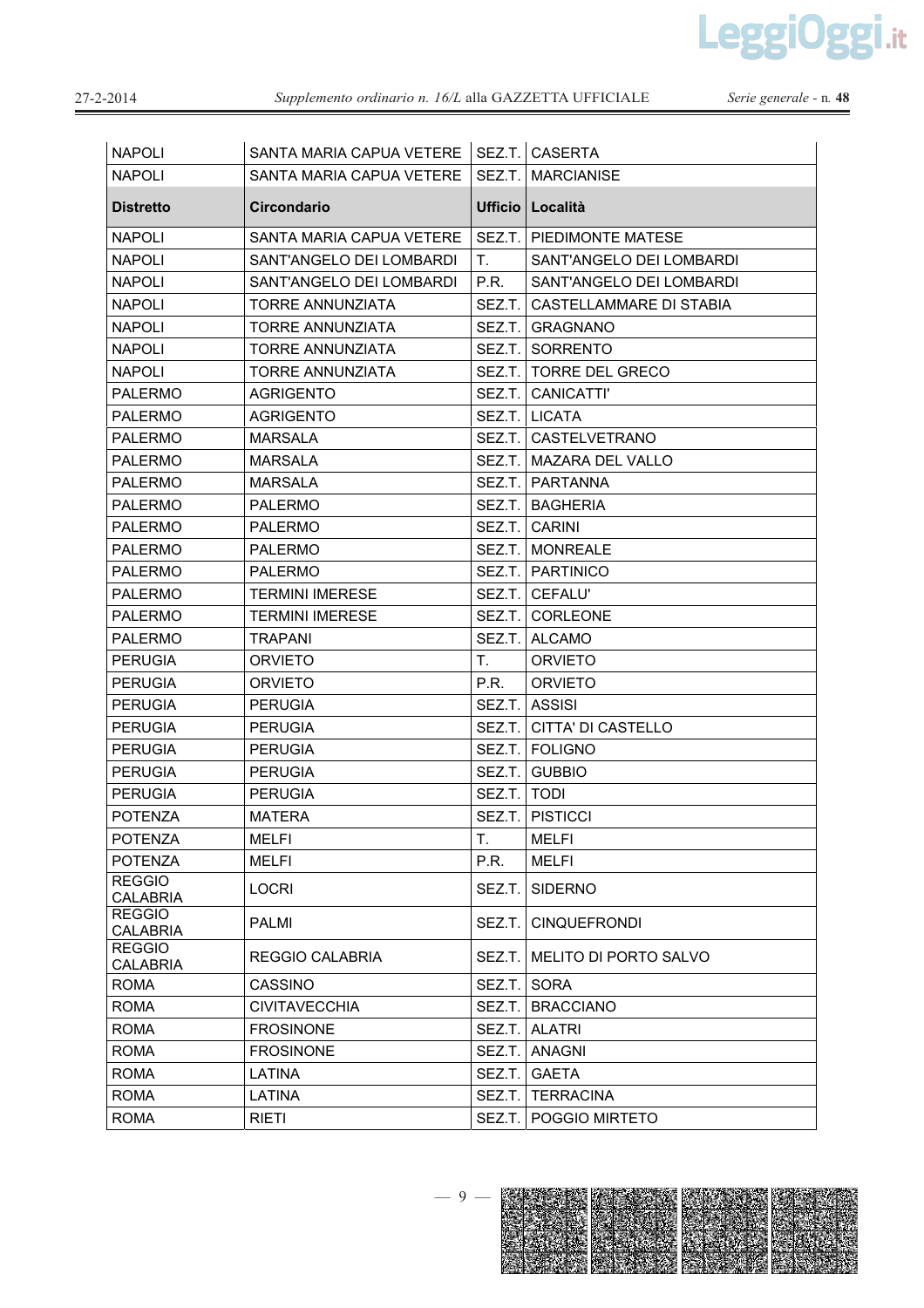LeggiOggi.it

Serie generale - n. 48

| <b>NAPOLI</b>                    | SANTA MARIA CAPUA VETERE |               | SEZ.T. CASERTA               |
|----------------------------------|--------------------------|---------------|------------------------------|
| <b>NAPOLI</b>                    | SANTA MARIA CAPUA VETERE |               | SEZ.T. MARCIANISE            |
| <b>Distretto</b>                 | Circondario              |               | <b>Ufficio Località</b>      |
| <b>NAPOLI</b>                    | SANTA MARIA CAPUA VETERE |               | SEZ.T. PIEDIMONTE MATESE     |
| <b>NAPOLI</b>                    | SANT'ANGELO DEI LOMBARDI | Τ.            | SANT'ANGELO DEI LOMBARDI     |
| <b>NAPOLI</b>                    | SANT'ANGELO DEI LOMBARDI | P.R.          | SANT'ANGELO DEI LOMBARDI     |
| <b>NAPOLI</b>                    | <b>TORRE ANNUNZIATA</b>  | SEZ.T.        | CASTELLAMMARE DI STABIA      |
| <b>NAPOLI</b>                    | TORRE ANNUNZIATA         | SEZ.T.        | <b>GRAGNANO</b>              |
| <b>NAPOLI</b>                    | <b>TORRE ANNUNZIATA</b>  | SEZ.T.        | SORRENTO                     |
| <b>NAPOLI</b>                    | TORRE ANNUNZIATA         |               | SEZ.T. I TORRE DEL GRECO     |
| <b>PALERMO</b>                   | <b>AGRIGENTO</b>         |               | SEZ.T.   CANICATTI'          |
| <b>PALERMO</b>                   | <b>AGRIGENTO</b>         |               | SEZ.T. LICATA                |
| <b>PALERMO</b>                   | <b>MARSALA</b>           |               | SEZ.T. CASTELVETRANO         |
| <b>PALERMO</b>                   | MARSALA                  |               | SEZ.T. MAZARA DEL VALLO      |
| <b>PALERMO</b>                   | MARSALA                  |               | SEZ.T. I PARTANNA            |
| <b>PALERMO</b>                   | PALERMO                  |               | SEZ.T.   BAGHERIA            |
| <b>PALERMO</b>                   | <b>PALERMO</b>           |               | SEZ.T. CARINI                |
| <b>PALERMO</b>                   | PALERMO                  |               | SEZ.T.   MONREALE            |
| <b>PALERMO</b>                   | PALERMO                  |               | SEZ.T. PARTINICO             |
| <b>PALERMO</b>                   | <b>TERMINI IMERESE</b>   |               | SEZ.T.   CEFALU'             |
| <b>PALERMO</b>                   | <b>TERMINI IMERESE</b>   | SEZ.T.        | <b>CORLEONE</b>              |
| <b>PALERMO</b>                   | <b>TRAPANI</b>           | SEZ.T.        | <b>ALCAMO</b>                |
| <b>PERUGIA</b>                   | ORVIETO                  | T.            | <b>ORVIETO</b>               |
| <b>PERUGIA</b>                   | ORVIETO                  | P.R.          | <b>ORVIETO</b>               |
| <b>PERUGIA</b>                   | <b>PERUGIA</b>           |               | SEZ.T. ASSISI                |
| <b>PERUGIA</b>                   | <b>PERUGIA</b>           | SEZ.T.        | CITTA' DI CASTELLO           |
| <b>PERUGIA</b>                   | <b>PERUGIA</b>           |               | SEZ.T.   FOLIGNO             |
| <b>PERUGIA</b>                   | PERUGIA                  | SEZ.T.        | <b>GUBBIO</b>                |
| <b>PERUGIA</b>                   | <b>PERUGIA</b>           | SEZ.T.   TODI |                              |
| <b>POTENZA</b>                   | MATERA                   |               | SEZ.T. PISTICCI              |
| <b>POTENZA</b>                   | <b>MELFI</b>             | T.            | <b>MELFI</b>                 |
| <b>POTENZA</b>                   | <b>MELFI</b>             | P.R.          | <b>MELFI</b>                 |
| <b>REGGIO</b><br><b>CALABRIA</b> | <b>LOCRI</b>             | SEZ.T.        | <b>SIDERNO</b>               |
| <b>REGGIO</b><br><b>CALABRIA</b> | <b>PALMI</b>             | SEZ.T.        | <b>CINQUEFRONDI</b>          |
| <b>REGGIO</b><br><b>CALABRIA</b> | REGGIO CALABRIA          | SEZ.T.        | <b>MELITO DI PORTO SALVO</b> |
| <b>ROMA</b>                      | <b>CASSINO</b>           | SEZ.T.        | <b>SORA</b>                  |
| <b>ROMA</b>                      | <b>CIVITAVECCHIA</b>     | SEZ.T.        | <b>BRACCIANO</b>             |
| <b>ROMA</b>                      | <b>FROSINONE</b>         | SEZ.T.        | <b>ALATRI</b>                |
| <b>ROMA</b>                      | <b>FROSINONE</b>         | SEZ.T.        | <b>ANAGNI</b>                |
| <b>ROMA</b>                      | LATINA                   | SEZ.T.        | <b>GAETA</b>                 |
| <b>ROMA</b>                      | LATINA                   | SEZ.T.        | <b>TERRACINA</b>             |
| <b>ROMA</b>                      | <b>RIFTI</b>             |               | SEZ T. POGGIO MIRTETO        |

 $-9-$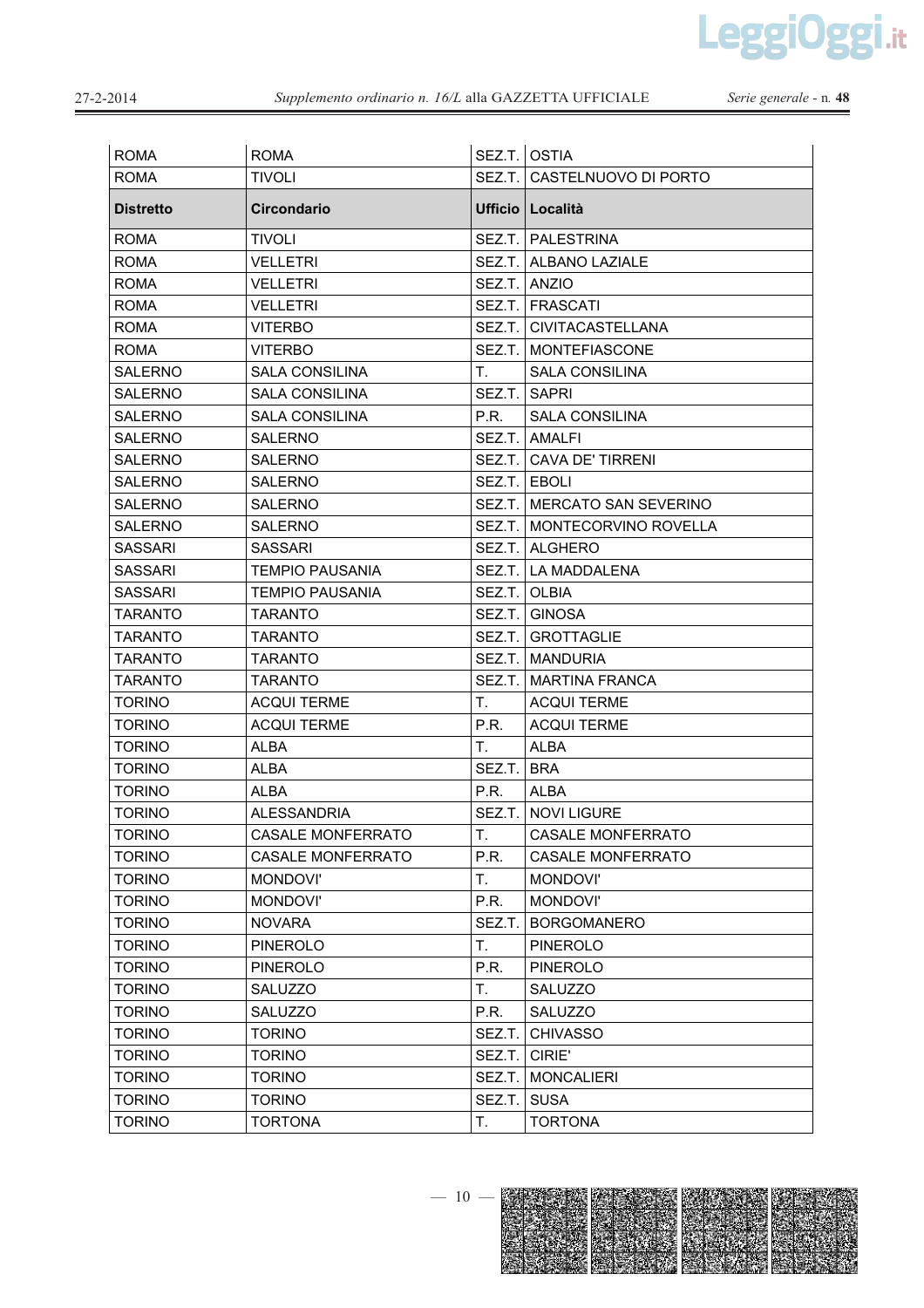LeggiOggi.it

| <b>ROMA</b>      | <b>ROMA</b>              |              | SEZ.T. OSTIA                  |
|------------------|--------------------------|--------------|-------------------------------|
| <b>ROMA</b>      | <b>TIVOLI</b>            |              | SEZ.T. CASTELNUOVO DI PORTO   |
| <b>Distretto</b> | Circondario              |              | Ufficio   Località            |
| <b>ROMA</b>      | <b>TIVOLI</b>            |              | SEZ.T. PALESTRINA             |
| <b>ROMA</b>      | <b>VELLETRI</b>          |              | SEZ.T.   ALBANO LAZIALE       |
| <b>ROMA</b>      | <b>VELLETRI</b>          |              | SEZ.T. ANZIO                  |
| <b>ROMA</b>      | <b>VELLETRI</b>          |              | SEZ.T. FRASCATI               |
| <b>ROMA</b>      | <b>VITERBO</b>           |              | SEZ.T.   CIVITACASTELLANA     |
| <b>ROMA</b>      | <b>VITERBO</b>           |              | SEZ.T.   MONTEFIASCONE        |
| <b>SALERNO</b>   | <b>SALA CONSILINA</b>    | T.           | <b>SALA CONSILINA</b>         |
| <b>SALERNO</b>   | <b>SALA CONSILINA</b>    |              | SEZ.T. SAPRI                  |
| <b>SALERNO</b>   | <b>SALA CONSILINA</b>    | P.R.         | <b>SALA CONSILINA</b>         |
| SALERNO          | <b>SALERNO</b>           |              | SEZ.T. AMALFI                 |
| <b>SALERNO</b>   | <b>SALERNO</b>           |              | SEZ.T. CAVA DE' TIRRENI       |
| <b>SALERNO</b>   | <b>SALERNO</b>           | SEZ.T. EBOLI |                               |
| <b>SALERNO</b>   | <b>SALERNO</b>           |              | SEZ.T. IMERCATO SAN SEVERINO  |
| <b>SALERNO</b>   | <b>SALERNO</b>           |              | SEZ.T.   MONTECORVINO ROVELLA |
| <b>SASSARI</b>   | <b>SASSARI</b>           |              | SEZ.T.   ALGHERO              |
| <b>SASSARI</b>   | <b>TEMPIO PAUSANIA</b>   |              | SEZ.T. LA MADDALENA           |
| <b>SASSARI</b>   | <b>TEMPIO PAUSANIA</b>   | SEZ.T. OLBIA |                               |
| <b>TARANTO</b>   | <b>TARANTO</b>           |              | SEZ.T. GINOSA                 |
| <b>TARANTO</b>   | TARANTO                  |              | <b>SEZ.T. GROTTAGLIE</b>      |
| <b>TARANTO</b>   | <b>TARANTO</b>           |              | SEZ.T. MANDURIA               |
| <b>TARANTO</b>   | TARANTO                  |              | SEZ.T.   MARTINA FRANCA       |
| <b>TORINO</b>    | <b>ACQUI TERME</b>       | T.           | <b>ACQUI TERME</b>            |
| <b>TORINO</b>    | <b>ACQUI TERME</b>       | P.R.         | <b>ACQUI TERME</b>            |
| <b>TORINO</b>    | <b>ALBA</b>              | T.           | <b>ALBA</b>                   |
| <b>TORINO</b>    | ALBA                     | SEZ.T. BRA   |                               |
| <b>TORINO</b>    | ALBA                     | P.R.         | ALBA                          |
| <b>TORINO</b>    | <b>ALESSANDRIA</b>       | SEZ.T.       | <b>NOVI LIGURE</b>            |
| <b>TORINO</b>    | <b>CASALE MONFERRATO</b> | T.           | <b>CASALE MONFERRATO</b>      |
| <b>TORINO</b>    | CASALE MONFERRATO        | P.R.         | <b>CASALE MONFERRATO</b>      |
| <b>TORINO</b>    | MONDOVI'                 | Τ.           | MONDOVI'                      |
| <b>TORINO</b>    | MONDOVI'                 | P.R.         | <b>MONDOVI'</b>               |
| <b>TORINO</b>    | <b>NOVARA</b>            | SEZ.T.       | <b>BORGOMANERO</b>            |
| <b>TORINO</b>    | <b>PINEROLO</b>          | Τ.           | <b>PINEROLO</b>               |
| <b>TORINO</b>    | <b>PINEROLO</b>          | P.R.         | <b>PINEROLO</b>               |
| <b>TORINO</b>    | SALUZZO                  | T.           | SALUZZO                       |
| <b>TORINO</b>    | SALUZZO                  | P.R.         | <b>SALUZZO</b>                |
| <b>TORINO</b>    | <b>TORINO</b>            | SEZ.T.       | <b>CHIVASSO</b>               |
| <b>TORINO</b>    | <b>TORINO</b>            | SEZ.T.       | CIRIE'                        |
| <b>TORINO</b>    | <b>TORINO</b>            | SEZ.T.       | <b>MONCALIERI</b>             |
| <b>TORINO</b>    | <b>TORINO</b>            | SEZ.T.       | <b>SUSA</b>                   |
| <b>TORINO</b>    | <b>TORTONA</b>           | T.           | <b>TORTONA</b>                |